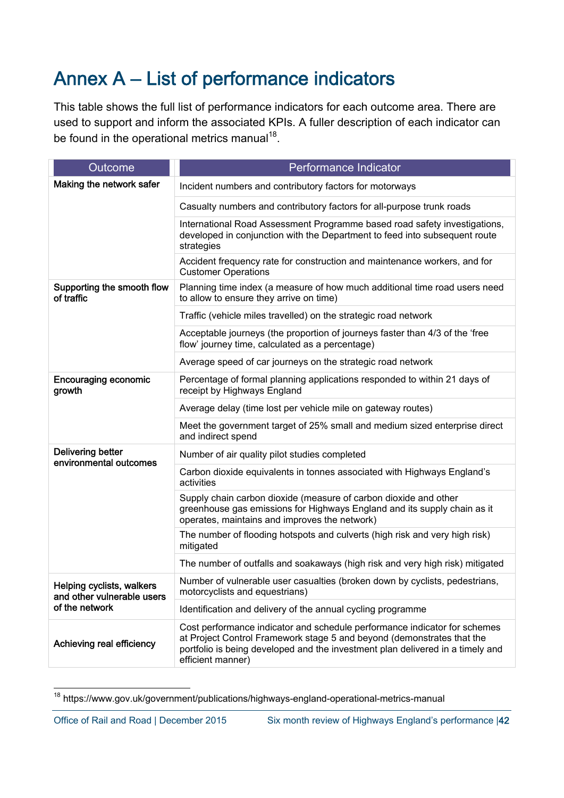## Annex A – List of performance indicators

This table shows the full list of performance indicators for each outcome area. There are used to support and inform the associated KPIs. A fuller description of each indicator can be found in the operational metrics manual<sup>18</sup>.

| Outcome                                                                   | Performance Indicator                                                                                                                                                                                                                                      |
|---------------------------------------------------------------------------|------------------------------------------------------------------------------------------------------------------------------------------------------------------------------------------------------------------------------------------------------------|
| Making the network safer                                                  | Incident numbers and contributory factors for motorways                                                                                                                                                                                                    |
|                                                                           | Casualty numbers and contributory factors for all-purpose trunk roads                                                                                                                                                                                      |
|                                                                           | International Road Assessment Programme based road safety investigations,<br>developed in conjunction with the Department to feed into subsequent route<br>strategies                                                                                      |
|                                                                           | Accident frequency rate for construction and maintenance workers, and for<br><b>Customer Operations</b>                                                                                                                                                    |
| Supporting the smooth flow<br>of traffic                                  | Planning time index (a measure of how much additional time road users need<br>to allow to ensure they arrive on time)                                                                                                                                      |
|                                                                           | Traffic (vehicle miles travelled) on the strategic road network                                                                                                                                                                                            |
|                                                                           | Acceptable journeys (the proportion of journeys faster than 4/3 of the 'free<br>flow' journey time, calculated as a percentage)                                                                                                                            |
|                                                                           | Average speed of car journeys on the strategic road network                                                                                                                                                                                                |
| <b>Encouraging economic</b><br>growth                                     | Percentage of formal planning applications responded to within 21 days of<br>receipt by Highways England                                                                                                                                                   |
|                                                                           | Average delay (time lost per vehicle mile on gateway routes)                                                                                                                                                                                               |
|                                                                           | Meet the government target of 25% small and medium sized enterprise direct<br>and indirect spend                                                                                                                                                           |
| <b>Delivering better</b><br>environmental outcomes                        | Number of air quality pilot studies completed                                                                                                                                                                                                              |
|                                                                           | Carbon dioxide equivalents in tonnes associated with Highways England's<br>activities                                                                                                                                                                      |
|                                                                           | Supply chain carbon dioxide (measure of carbon dioxide and other<br>greenhouse gas emissions for Highways England and its supply chain as it<br>operates, maintains and improves the network)                                                              |
|                                                                           | The number of flooding hotspots and culverts (high risk and very high risk)<br>mitigated                                                                                                                                                                   |
|                                                                           | The number of outfalls and soakaways (high risk and very high risk) mitigated                                                                                                                                                                              |
| Helping cyclists, walkers<br>and other vulnerable users<br>of the network | Number of vulnerable user casualties (broken down by cyclists, pedestrians,<br>motorcyclists and equestrians)                                                                                                                                              |
|                                                                           | Identification and delivery of the annual cycling programme                                                                                                                                                                                                |
| Achieving real efficiency                                                 | Cost performance indicator and schedule performance indicator for schemes<br>at Project Control Framework stage 5 and beyond (demonstrates that the<br>portfolio is being developed and the investment plan delivered in a timely and<br>efficient manner) |

 $\overline{a}$ <sup>18</sup> https://www.gov.uk/government/publications/highways-england-operational-metrics-manual